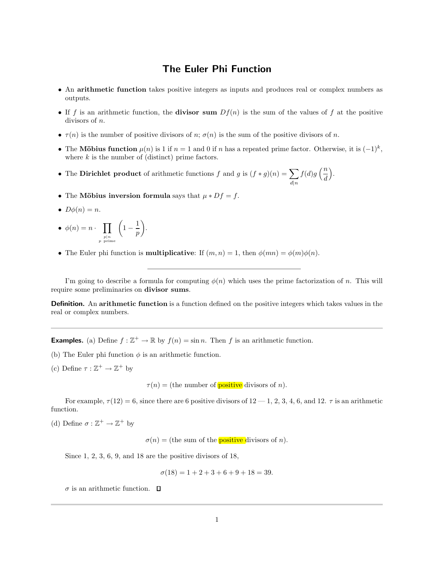## The Euler Phi Function

- An arithmetic function takes positive integers as inputs and produces real or complex numbers as outputs.
- If f is an arithmetic function, the **divisor sum**  $Df(n)$  is the sum of the values of f at the positive divisors of n.
- $\tau(n)$  is the number of positive divisors of n;  $\sigma(n)$  is the sum of the positive divisors of n.
- The Möbius function  $\mu(n)$  is 1 if  $n = 1$  and 0 if n has a repeated prime factor. Otherwise, it is  $(-1)^k$ , where  $k$  is the number of (distinct) prime factors.
- The Dirichlet product of arithmetic functions f and g is  $(f * g)(n) = \sum$  $d|n$  $f(d)g\left(\frac{n}{d}\right)$ d .
- The Möbius inversion formula says that  $\mu * Df = f$ .
- $D\phi(n) = n$ .
- $\bullet \phi(n) = n \cdot \prod$  $p \mid n$ <br>p prime  $\left(1 - \frac{1}{2}\right)$ p .
- The Euler phi function is **multiplicative**: If  $(m, n) = 1$ , then  $\phi(mn) = \phi(m)\phi(n)$ .

I'm going to describe a formula for computing  $\phi(n)$  which uses the prime factorization of n. This will require some preliminaries on divisor sums.

Definition. An arithmetic function is a function defined on the positive integers which takes values in the real or complex numbers.

**Examples.** (a) Define  $f : \mathbb{Z}^+ \to \mathbb{R}$  by  $f(n) = \sin n$ . Then f is an arithmetic function.

(b) The Euler phi function  $\phi$  is an arithmetic function.

(c) Define  $\tau : \mathbb{Z}^+ \to \mathbb{Z}^+$  by

 $\tau(n) =$  (the number of **positive** divisors of n).

For example,  $\tau(12) = 6$ , since there are 6 positive divisors of  $12 - 1$ , 2, 3, 4, 6, and 12.  $\tau$  is an arithmetic function.

(d) Define  $\sigma : \mathbb{Z}^+ \to \mathbb{Z}^+$  by

 $\sigma(n) =$  (the sum of the **positive** divisors of n).

Since 1, 2, 3, 6, 9, and 18 are the positive divisors of 18,

 $\sigma(18) = 1 + 2 + 3 + 6 + 9 + 18 = 39.$ 

 $\sigma$  is an arithmetic function.  $\Box$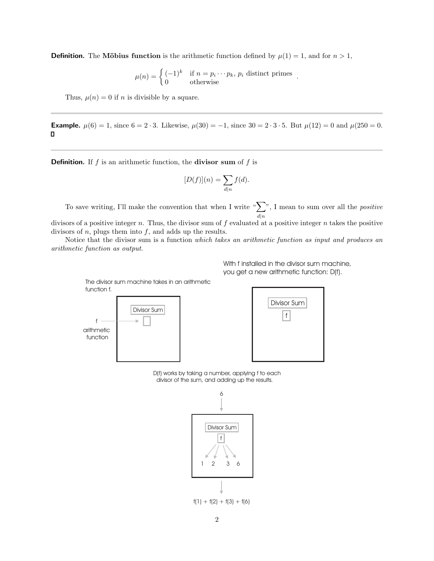**Definition.** The Möbius function is the arithmetic function defined by  $\mu(1) = 1$ , and for  $n > 1$ ,

$$
\mu(n) = \begin{cases}\n(-1)^k & \text{if } n = p_i \cdots p_k, \ p_i \text{ distinct primes} \\
0 & \text{otherwise}\n\end{cases}
$$

Thus,  $\mu(n) = 0$  if n is divisible by a square.

**Example.**  $\mu(6) = 1$ , since  $6 = 2 \cdot 3$ . Likewise,  $\mu(30) = -1$ , since  $30 = 2 \cdot 3 \cdot 5$ . But  $\mu(12) = 0$  and  $\mu(250 = 0$ .  $\Box$ 

**Definition.** If f is an arithmetic function, the **divisor sum** of f is

$$
[D(f)](n) = \sum_{d|n} f(d).
$$

To save writing, I'll make the convention that when I write " $\sum$ ", I mean to sum over all the *positive*  $d|n$ 

divisors of a positive integer n. Thus, the divisor sum of  $f$  evaluated at a positive integer n takes the positive divisors of  $n$ , plugs them into  $f$ , and adds up the results.

Notice that the divisor sum is a function which takes an arithmetic function as input and produces an arithmetic function as output.

> With f installed in the divisor sum machine, you get a new arithmetic function: D(f).

.





D(f) works by taking a number, applying f to each divisor of the sum, and adding up the results.

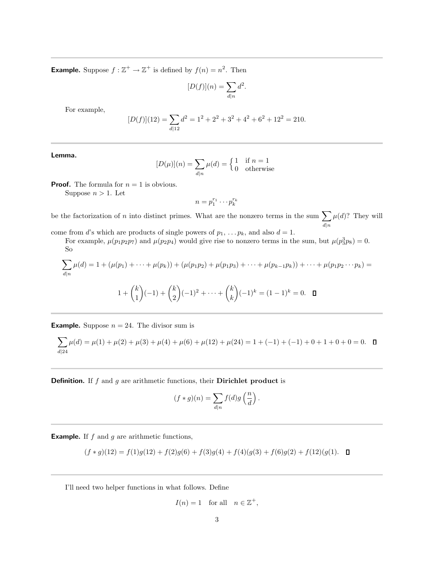**Example.** Suppose  $f : \mathbb{Z}^+ \to \mathbb{Z}^+$  is defined by  $f(n) = n^2$ . Then

$$
[D(f)](n) = \sum_{d|n} d^2
$$

.

For example,

$$
[D(f)](12) = \sum_{d|12} d^2 = 1^2 + 2^2 + 3^2 + 4^2 + 6^2 + 12^2 = 210.
$$

Lemma.

$$
[D(\mu)](n) = \sum_{d|n} \mu(d) = \begin{cases} 1 & \text{if } n = 1 \\ 0 & \text{otherwise} \end{cases}
$$

**Proof.** The formula for  $n = 1$  is obvious.

Suppose  $n > 1$ . Let

$$
n=p_1^{r_1}\cdots p_k^{r_k}
$$

be the factorization of n into distinct primes. What are the nonzero terms in the sum  $\sum$  $d|n$  $\mu(d)$ ? They will

come from d's which are products of single powers of  $p_1, \ldots, p_k$ , and also  $d = 1$ .

For example,  $\mu(p_1p_2p_7)$  and  $\mu(p_2p_4)$  would give rise to nonzero terms in the sum, but  $\mu(p_3^3p_8)=0$ . So

$$
\sum_{d|n} \mu(d) = 1 + (\mu(p_1) + \dots + \mu(p_k)) + (\mu(p_1 p_2) + \mu(p_1 p_3) + \dots + \mu(p_{k-1} p_k)) + \dots + \mu(p_1 p_2 \dots p_k) =
$$
\n
$$
(k) \qquad (k) \qquad (k) \qquad (k) \qquad (k) \qquad (k) \qquad (k) \qquad (k) \qquad (k) \qquad (k) \qquad (k) \qquad (k) \qquad (k) \qquad (k) \qquad (k) \qquad (k) \qquad (k) \qquad (k) \qquad (k) \qquad (k) \qquad (k) \qquad (k) \qquad (k) \qquad (k) \qquad (k) \qquad (k) \qquad (k) \qquad (k) \qquad (k) \qquad (k) \qquad (k) \qquad (k) \qquad (k) \qquad (k) \qquad (k) \qquad (k) \qquad (k) \qquad (k) \qquad (k) \qquad (k) \qquad (k) \qquad (k) \qquad (k) \qquad (k) \qquad (k) \qquad (k) \qquad (k) \qquad (k) \qquad (k) \qquad (k) \qquad (k) \qquad (k) \qquad (k) \qquad (k) \qquad (k) \qquad (k) \qquad (k) \qquad (k) \qquad (k) \qquad (k) \qquad (k) \qquad (k) \qquad (k) \qquad (k) \qquad (k) \qquad (k) \qquad (k) \qquad (k) \qquad (k) \qquad (k) \qquad (k) \qquad (k) \qquad (k) \qquad (k) \qquad (k) \qquad (k) \qquad (k) \qquad (k) \qquad (k) \qquad (k) \qquad (k) \qquad (k) \qquad (k) \qquad (k) \qquad (k) \qquad (k) \qquad (k) \qquad (k) \qquad (k) \qquad (k) \qquad (k) \qquad (k) \qquad (k) \qquad (k) \qquad (k) \qquad (k) \qquad (k) \qquad (k) \qquad (k) \qquad (k) \qquad (k) \qquad (k) \qquad (k) \qquad (k) \qquad (k) \qquad (k) \qquad (k) \qquad (k) \qquad (k) \qquad (k) \qquad (k) \qquad (k
$$

$$
1 + {k \choose 1}(-1) + {k \choose 2}(-1)^2 + \dots + {k \choose k}(-1)^k = (1-1)^k = 0. \quad \Box
$$

**Example.** Suppose  $n = 24$ . The divisor sum is

$$
\sum_{d|24} \mu(d) = \mu(1) + \mu(2) + \mu(3) + \mu(4) + \mu(6) + \mu(12) + \mu(24) = 1 + (-1) + (-1) + 0 + 1 + 0 + 0 = 0.
$$

**Definition.** If  $f$  and  $g$  are arithmetic functions, their **Dirichlet product** is

$$
(f * g)(n) = \sum_{d|n} f(d)g\left(\frac{n}{d}\right).
$$

**Example.** If  $f$  and  $g$  are arithmetic functions,

$$
(f * g)(12) = f(1)g(12) + f(2)g(6) + f(3)g(4) + f(4)(g(3) + f(6)g(2) + f(12)(g(1)).
$$

I'll need two helper functions in what follows. Define

$$
I(n) = 1 \quad \text{for all} \quad n \in \mathbb{Z}^+,
$$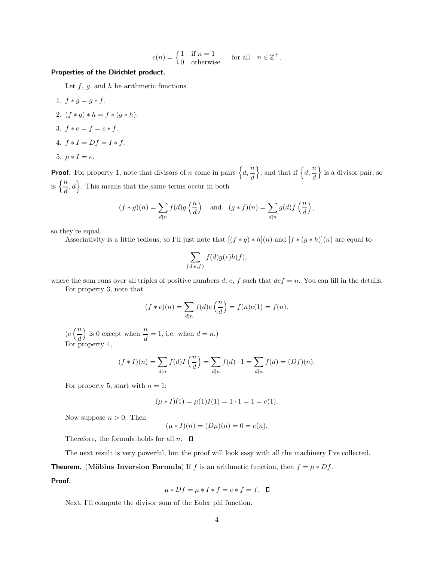$$
e(n) = \begin{cases} 1 & \text{if } n = 1 \\ 0 & \text{otherwise} \end{cases} \quad \text{for all} \quad n \in \mathbb{Z}^+.
$$

#### Properties of the Dirichlet product.

Let  $f, g$ , and  $h$  be arithmetic functions.

1.  $f * g = g * f$ . 2.  $(f * q) * h = f * (q * h).$ 3.  $f * e = f = e * f$ . 4.  $f * I = Df = I * f$ . 5.  $\mu * I = e$ .

**Proof.** For property 1, note that divisors of *n* come in pairs  $\left\{d, \frac{n}{d}\right\}$ }, and that if  $\left\{d, \frac{n}{d}\right\}$ } is a divisor pair, so is  $\left\{\frac{n}{d}, d\right\}$ . This means that the same terms occur in both

$$
(f * g)(n) = \sum_{d|n} f(d)g\left(\frac{n}{d}\right) \text{ and } (g * f)(n) = \sum_{d|n} g(d)f\left(\frac{n}{d}\right),
$$

so they're equal.

Associativity is a little tedious, so I'll just note that  $[(f * g) * h](n)$  and  $[f * (g * h)](n)$  are equal to

$$
\sum_{\{d,e,f\}} f(d)g(e)h(f),
$$

where the sum runs over all triples of positive numbers d, e, f such that  $def = n$ . You can fill in the details. For property 3, note that

$$
(f * e)(n) = \sum_{d|n} f(d)e\left(\frac{n}{d}\right) = f(n)e(1) = f(n).
$$

 $(e\left(\frac{n}{2}\right))$ d ) is 0 except when  $\frac{n}{d} = 1$ , i.e. when  $d = n$ .) For property 4,

$$
(f * I)(n) = \sum_{d|n} f(d)I\left(\frac{n}{d}\right) = \sum_{d|n} f(d) \cdot 1 = \sum_{d|n} f(d) = (Df)(n).
$$

For property 5, start with  $n = 1$ :

$$
(\mu * I)(1) = \mu(1)I(1) = 1 \cdot 1 = 1 = e(1).
$$

Now suppose  $n > 0$ . Then

$$
(\mu * I)(n) = (D\mu)(n) = 0 = e(n).
$$

Therefore, the formula holds for all  $n$ .  $\Box$ 

The next result is very powerful, but the proof will look easy with all the machinery I've collected.

**Theorem.** (Möbius Inversion Formula) If f is an arithmetic function, then  $f = \mu * Df$ .

#### Proof.

$$
\mu * Df = \mu * I * f = e * f = f. \quad \Box
$$

Next, I'll compute the divisor sum of the Euler phi function.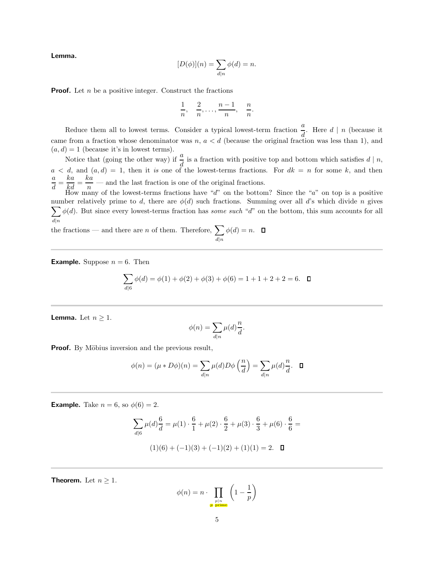Lemma.

$$
[D(\phi)](n) = \sum_{d|n} \phi(d) = n.
$$

**Proof.** Let  $n$  be a positive integer. Construct the fractions

$$
\frac{1}{n}, \quad \frac{2}{n}, \ldots, \frac{n-1}{n}, \quad \frac{n}{n}.
$$

Reduce them all to lowest terms. Consider a typical lowest-term fraction  $\frac{a}{d}$ . Here  $d | n$  (because it came from a fraction whose denominator was  $n, a < d$  (because the original fraction was less than 1), and  $(a, d) = 1$  (because it's in lowest terms).

Notice that (going the other way) if  $\frac{a}{d}$  is a fraction with positive top and bottom which satisfies  $d | n$ ,  $a < d$ , and  $(a, d) = 1$ , then it is one of the lowest-terms fractions. For  $dk = n$  for some k, and then a  $\frac{a}{d} = \frac{ka}{kd} = \frac{ka}{n}$  $\frac{a}{n}$  — and the last fraction is one of the original fractions.

How many of the lowest-terms fractions have "d" on the bottom? Since the "a" on top is a positive number relatively prime to d, there are  $\phi(d)$  such fractions. Summing over all d's which divide n gives  $\sum_{i} \phi(d)$ . But since every lowest-terms fraction has some such "d" on the bottom, this sum accounts for all  $d|n$ 

the fractions — and there are n of them. Therefore,  $\sum$  $d|n$  $\phi(d) = n.$ 

**Example.** Suppose  $n = 6$ . Then

$$
\sum_{d|6} \phi(d) = \phi(1) + \phi(2) + \phi(3) + \phi(6) = 1 + 1 + 2 + 2 = 6. \quad \Box
$$

**Lemma.** Let  $n \geq 1$ .

$$
\phi(n) = \sum_{d|n} \mu(d) \frac{n}{d}
$$

.

**Proof.** By Möbius inversion and the previous result,

$$
\phi(n) = (\mu * D\phi)(n) = \sum_{d|n} \mu(d) D\phi\left(\frac{n}{d}\right) = \sum_{d|n} \mu(d)\frac{n}{d}.
$$

**Example.** Take  $n = 6$ , so  $\phi(6) = 2$ .

$$
\sum_{d|6} \mu(d)\frac{6}{d} = \mu(1)\cdot \frac{6}{1} + \mu(2)\cdot \frac{6}{2} + \mu(3)\cdot \frac{6}{3} + \mu(6)\cdot \frac{6}{6} =
$$
  
(1)(6) + (-1)(3) + (-1)(2) + (1)(1) = 2.  $\Box$ 

**Theorem.** Let  $n > 1$ .

$$
\phi(n) = n \cdot \prod_{\substack{p \mid n \\ p \text{ prime}}} \left(1 - \frac{1}{p}\right)
$$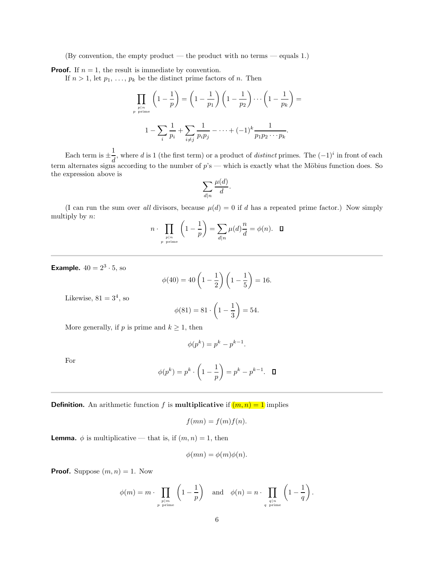(By convention, the empty product — the product with no terms — equals 1.)

**Proof.** If  $n = 1$ , the result is immediate by convention.

If  $n > 1$ , let  $p_1, \ldots, p_k$  be the distinct prime factors of n. Then

$$
\prod_{p \text{ prime}} \left(1 - \frac{1}{p}\right) = \left(1 - \frac{1}{p_1}\right) \left(1 - \frac{1}{p_2}\right) \cdots \left(1 - \frac{1}{p_k}\right) =
$$
  

$$
1 - \sum_{i} \frac{1}{p_i} + \sum_{i \neq j} \frac{1}{p_i p_j} - \cdots + (-1)^k \frac{1}{p_1 p_2 \cdots p_k}.
$$

Each term is  $\pm \frac{1}{4}$  $\frac{1}{d}$ , where d is 1 (the first term) or a product of distinct primes. The  $(-1)^i$  in front of each term alternates signs according to the number of  $p$ 's — which is exactly what the Möbius function does. So the expression above is

$$
\sum_{d|n} \frac{\mu(d)}{d}.
$$

(I can run the sum over all divisors, because  $\mu(d) = 0$  if d has a repeated prime factor.) Now simply multiply by  $n$ :

$$
n \cdot \prod_{p \mid n \atop p \text{ prime}} \left(1 - \frac{1}{p}\right) = \sum_{d \mid n} \mu(d) \frac{n}{d} = \phi(n). \quad \Box
$$

**Example.**  $40 = 2^3 \cdot 5$ , so

$$
\phi(40) = 40 \left( 1 - \frac{1}{2} \right) \left( 1 - \frac{1}{5} \right) = 16.
$$

Likewise,  $81 = 3^4$ , so

$$
\phi(81) = 81 \cdot \left(1 - \frac{1}{3}\right) = 54.
$$

More generally, if p is prime and  $k \geq 1$ , then

$$
f_{\rm{max}}
$$

For

$$
(p^k) = p^k \cdot \left(1 - \frac{1}{p}\right) = p^k - p^{k-1}.\quad \blacksquare
$$

 $\phi(p^k) = p^k - p^{k-1}.$ 

**Definition.** An arithmetic function f is **multiplicative** if  $(m, n) = 1$  implies

 $\phi$ 

$$
f(mn) = f(m)f(n).
$$

**Lemma.**  $\phi$  is multiplicative — that is, if  $(m, n) = 1$ , then

$$
\phi(mn) = \phi(m)\phi(n).
$$

**Proof.** Suppose  $(m, n) = 1$ . Now

$$
\phi(m) = m \cdot \prod_{p \mid m \atop p \text{ prime}} \left(1 - \frac{1}{p}\right) \quad \text{and} \quad \phi(n) = n \cdot \prod_{q \mid n \atop q \text{ prime}} \left(1 - \frac{1}{q}\right).
$$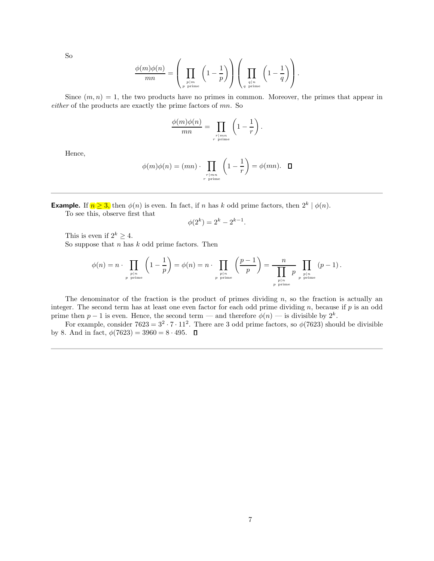So

$$
\frac{\phi(m)\phi(n)}{mn} = \left(\prod_{p|m \atop p \text{ prime}}\left(1 - \frac{1}{p}\right)\right)\left(\prod_{q \text{ prime}}\left(1 - \frac{1}{q}\right)\right).
$$

Since  $(m, n) = 1$ , the two products have no primes in common. Moreover, the primes that appear in either of the products are exactly the prime factors of mn. So

$$
\frac{\phi(m)\phi(n)}{mn} = \prod_{\substack{r|mn\\r \text{ prime}}} \left(1 - \frac{1}{r}\right).
$$

Hence,

$$
\phi(m)\phi(n) = (mn) \cdot \prod_{\substack{r \mid mn \\ r \text{ prime}}} \left(1 - \frac{1}{r}\right) = \phi(mn). \quad \Box
$$

**Example.** If  $n \ge 3$ , then  $\phi(n)$  is even. In fact, if n has k odd prime factors, then  $2^k | \phi(n)$ .

To see this, observe first that

$$
\phi(2^k) = 2^k - 2^{k-1}.
$$

This is even if  $2^k \geq 4$ . So suppose that  $n$  has  $k$  odd prime factors. Then

$$
\phi(n) = n \cdot \prod_{p \mid n \atop p \text{ prime}} \left(1 - \frac{1}{p}\right) = \phi(n) = n \cdot \prod_{p \mid n \atop p \text{ prime}} \left(\frac{p-1}{p}\right) = \frac{n}{\prod_{p \mid n \atop p \text{ prime}} p} \prod_{p \mid n \atop p \text{ prime}} (p-1) \, .
$$

The denominator of the fraction is the product of primes dividing  $n$ , so the fraction is actually an integer. The second term has at least one even factor for each odd prime dividing  $n$ , because if  $p$  is an odd prime then  $p-1$  is even. Hence, the second term — and therefore  $\phi(n)$  — is divisible by  $2^k$ .

For example, consider  $7623 = 3^2 \cdot 7 \cdot 11^2$ . There are 3 odd prime factors, so  $\phi(7623)$  should be divisible by 8. And in fact,  $\phi(7623) = 3960 = 8 \cdot 495$ .  $\Box$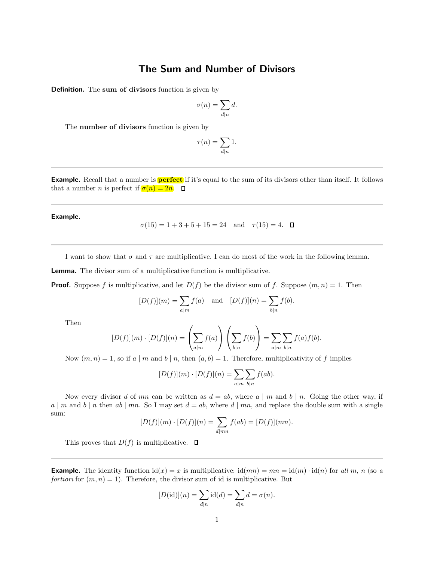# The Sum and Number of Divisors

Definition. The sum of divisors function is given by

$$
\sigma(n)=\sum_{d|n}d.
$$

The **number of divisors** function is given by

$$
\tau(n) = \sum_{d|n} 1.
$$

**Example.** Recall that a number is **perfect** if it's equal to the sum of its divisors other than itself. It follows that a number *n* is perfect if  $\sigma(n) = 2n$ .  $\Box$ 

Example.

$$
\sigma(15) = 1 + 3 + 5 + 15 = 24
$$
 and  $\tau(15) = 4$ .  $\Box$ 

I want to show that  $\sigma$  and  $\tau$  are multiplicative. I can do most of the work in the following lemma.

**Lemma.** The divisor sum of a multiplicative function is multiplicative.

**Proof.** Suppose f is multiplicative, and let  $D(f)$  be the divisor sum of f. Suppose  $(m, n) = 1$ . Then

$$
[D(f)](m) = \sum_{a|m} f(a)
$$
 and  $[D(f)](n) = \sum_{b|n} f(b)$ .

Then

$$
[D(f)](m) \cdot [D(f)](n) = \left(\sum_{a|m} f(a)\right) \left(\sum_{b|n} f(b)\right) = \sum_{a|m} \sum_{b|n} f(a)f(b).
$$

Now  $(m, n) = 1$ , so if a | m and b | n, then  $(a, b) = 1$ . Therefore, multiplicativity of f implies

$$
[D(f)](m) \cdot [D(f)](n) = \sum_{a|m} \sum_{b|n} f(ab).
$$

Now every divisor d of mn can be written as  $d = ab$ , where  $a \mid m$  and  $b \mid n$ . Going the other way, if  $a \mid m$  and  $b \mid n$  then  $ab \mid mn$ . So I may set  $d = ab$ , where  $d \mid mn$ , and replace the double sum with a single sum:

$$
[D(f)](m) \cdot [D(f)](n) = \sum_{d|mn} f(ab) = [D(f)](mn).
$$

This proves that  $D(f)$  is multiplicative.  $\Box$ 

**Example.** The identity function  $id(x) = x$  is multiplicative:  $id(mn) = mn = id(m) \cdot id(n)$  for all m, n (so a fortiori for  $(m, n) = 1$ ). Therefore, the divisor sum of id is multiplicative. But

$$
[D(\mathrm{id})](n) = \sum_{d|n} \mathrm{id}(d) = \sum_{d|n} d = \sigma(n).
$$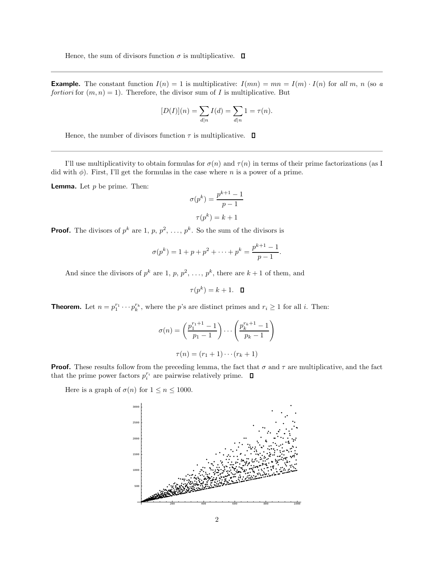Hence, the sum of divisors function  $\sigma$  is multiplicative.  $\Box$ 

**Example.** The constant function  $I(n) = 1$  is multiplicative:  $I(mn) = mn = I(m) \cdot I(n)$  for all m, n (so a fortiori for  $(m, n) = 1$ . Therefore, the divisor sum of I is multiplicative. But

$$
[D(I)](n) = \sum_{d|n} I(d) = \sum_{d|n} 1 = \tau(n).
$$

Hence, the number of divisors function  $\tau$  is multiplicative.  $\Box$ 

I'll use multiplicativity to obtain formulas for  $\sigma(n)$  and  $\tau(n)$  in terms of their prime factorizations (as I did with  $\phi$ ). First, I'll get the formulas in the case where n is a power of a prime.

**Lemma.** Let  $p$  be prime. Then:

$$
\sigma(p^k) = \frac{p^{k+1} - 1}{p - 1}
$$

$$
\tau(p^k) = k + 1
$$

**Proof.** The divisors of  $p^k$  are 1,  $p, p^2, \ldots, p^k$ . So the sum of the divisors is

$$
\sigma(p^k) = 1 + p + p^2 + \dots + p^k = \frac{p^{k+1} - 1}{p - 1}.
$$

And since the divisors of  $p^k$  are 1, p,  $p^2, \ldots, p^k$ , there are  $k+1$  of them, and

 $\tau(p^k) = k + 1.$ 

**Theorem.** Let  $n = p_1^{r_1} \cdots p_k^{r_k}$ , where the p's are distinct primes and  $r_i \ge 1$  for all i. Then:

$$
\sigma(n) = \left(\frac{p_1^{r_1+1}-1}{p_1-1}\right)\cdots\left(\frac{p_k^{r_k+1}-1}{p_k-1}\right)
$$

$$
\tau(n) = (r_1+1)\cdots(r_k+1)
$$

**Proof.** These results follow from the preceding lemma, the fact that  $\sigma$  and  $\tau$  are multiplicative, and the fact that the prime power factors  $p_i^{r_i}$  are pairwise relatively prime.

Here is a graph of  $\sigma(n)$  for  $1 \leq n \leq 1000$ .

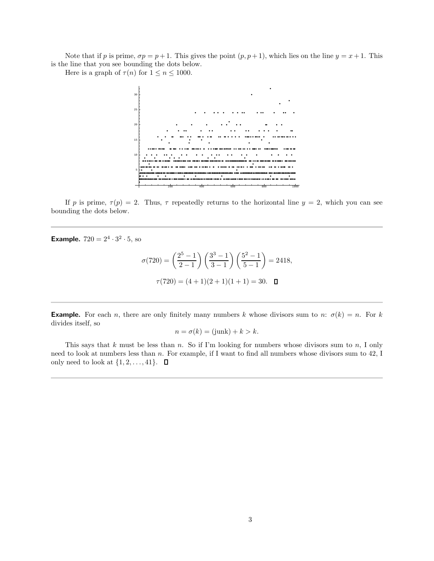Note that if p is prime,  $\sigma p = p + 1$ . This gives the point  $(p, p + 1)$ , which lies on the line  $y = x + 1$ . This is the line that you see bounding the dots below.

Here is a graph of  $\tau(n)$  for  $1 \leq n \leq 1000$ .



If p is prime,  $\tau(p) = 2$ . Thus,  $\tau$  repeatedly returns to the horizontal line  $y = 2$ , which you can see bounding the dots below.

**Example.**  $720 = 2^4 \cdot 3^2 \cdot 5$ , so

$$
\sigma(720) = \left(\frac{2^5 - 1}{2 - 1}\right) \left(\frac{3^3 - 1}{3 - 1}\right) \left(\frac{5^2 - 1}{5 - 1}\right) = 2418,
$$
  

$$
\tau(720) = (4 + 1)(2 + 1)(1 + 1) = 30. \quad \Box
$$

**Example.** For each n, there are only finitely many numbers k whose divisors sum to n:  $\sigma(k) = n$ . For k divides itself, so

$$
n = \sigma(k) = (\text{junk}) + k > k.
$$

This says that k must be less than n. So if I'm looking for numbers whose divisors sum to n, I only need to look at numbers less than n. For example, if I want to find all numbers whose divisors sum to 42, I only need to look at  $\{1, 2, \ldots, 41\}$ .  $\Box$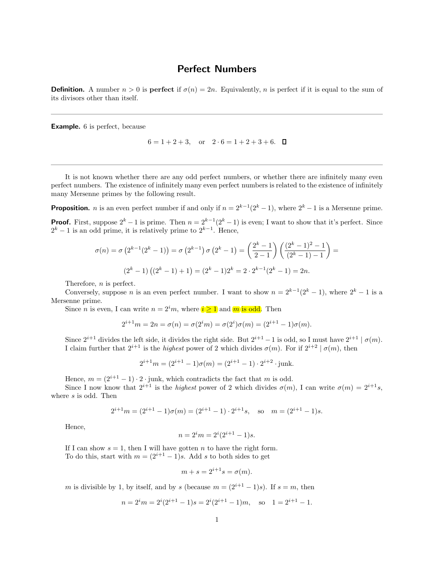### Perfect Numbers

**Definition.** A number  $n > 0$  is perfect if  $\sigma(n) = 2n$ . Equivalently, n is perfect if it is equal to the sum of its divisors other than itself.

**Example.** 6 is perfect, because

$$
6 = 1 + 2 + 3
$$
, or  $2 \cdot 6 = 1 + 2 + 3 + 6$ .  $\Box$ 

It is not known whether there are any odd perfect numbers, or whether there are infinitely many even perfect numbers. The existence of infinitely many even perfect numbers is related to the existence of infinitely many Mersenne primes by the following result.

**Proposition.** *n* is an even perfect number if and only if  $n = 2^{k-1}(2^k - 1)$ , where  $2^k - 1$  is a Mersenne prime. **Proof.** First, suppose  $2^k - 1$  is prime. Then  $n = 2^{k-1}(2^k - 1)$  is even; I want to show that it's perfect. Since  $2<sup>k</sup> - 1$  is an odd prime, it is relatively prime to  $2<sup>k-1</sup>$ . Hence,

$$
\sigma(n) = \sigma\left(2^{k-1}(2^k - 1)\right) = \sigma\left(2^{k-1}\right)\sigma\left(2^k - 1\right) = \left(\frac{2^k - 1}{2 - 1}\right)\left(\frac{(2^k - 1)^2 - 1}{(2^k - 1) - 1}\right) =
$$
  

$$
(2^k - 1)\left((2^k - 1) + 1\right) = (2^k - 1)2^k = 2 \cdot 2^{k-1}(2^k - 1) = 2n.
$$

Therefore, n is perfect.

Conversely, suppose *n* is an even perfect number. I want to show  $n = 2^{k-1}(2^k - 1)$ , where  $2^k - 1$  is a Mersenne prime.

Since *n* is even, I can write  $n = 2<sup>i</sup>m$ , where  $i > 1$  and m is odd. Then

$$
2^{i+1}m = 2n = \sigma(n) = \sigma(2^i m) = \sigma(2^i)\sigma(m) = (2^{i+1} - 1)\sigma(m).
$$

Since  $2^{i+1}$  divides the left side, it divides the right side. But  $2^{i+1} - 1$  is odd, so I must have  $2^{i+1} | \sigma(m)$ . I claim further that  $2^{i+1}$  is the *highest* power of 2 which divides  $\sigma(m)$ . For if  $2^{i+2} | \sigma(m)$ , then

$$
2^{i+1}m = (2^{i+1} - 1)\sigma(m) = (2^{i+1} - 1) \cdot 2^{i+2} \cdot \text{junk}.
$$

Hence,  $m = (2^{i+1} - 1) \cdot 2 \cdot$  junk, which contradicts the fact that m is odd.

Since I now know that  $2^{i+1}$  is the *highest* power of 2 which divides  $\sigma(m)$ , I can write  $\sigma(m) = 2^{i+1}s$ , where s is odd. Then

$$
2^{i+1}m = (2^{i+1} - 1)\sigma(m) = (2^{i+1} - 1) \cdot 2^{i+1}s, \text{ so } m = (2^{i+1} - 1)s.
$$

Hence,

$$
n = 2^i m = 2^i (2^{i+1} - 1)s.
$$

If I can show  $s = 1$ , then I will have gotten n to have the right form. To do this, start with  $m = (2^{i+1} - 1)s$ . Add s to both sides to get

$$
m + s = 2^{i+1}s = \sigma(m).
$$

m is divisible by 1, by itself, and by s (because  $m = (2^{i+1} - 1)s$ ). If  $s = m$ , then

$$
n = 2^{i}m = 2^{i}(2^{i+1} - 1)s = 2^{i}(2^{i+1} - 1)m
$$
, so  $1 = 2^{i+1} - 1$ .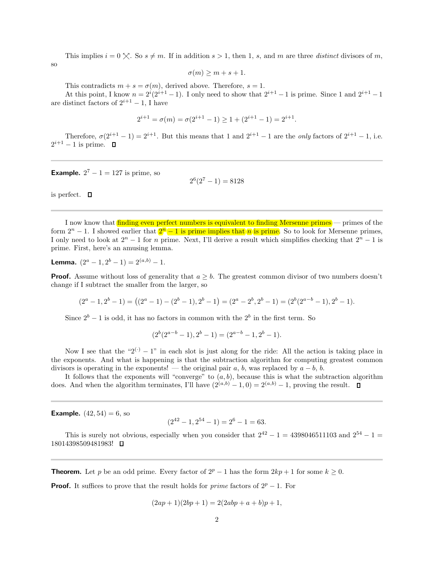This implies  $i = 0 \times$ . So  $s \neq m$ . If in addition  $s > 1$ , then 1, s, and m are three *distinct* divisors of m,

$$
\sigma(m) \ge m + s + 1.
$$

This contradicts  $m + s = \sigma(m)$ , derived above. Therefore,  $s = 1$ .

At this point, I know  $n = 2^{i}(2^{i+1}-1)$ . I only need to show that  $2^{i+1}-1$  is prime. Since 1 and  $2^{i+1}-1$ are distinct factors of  $2^{i+1} - 1$ , I have

$$
2^{i+1} = \sigma(m) = \sigma(2^{i+1} - 1) \ge 1 + (2^{i+1} - 1) = 2^{i+1}
$$

.

Therefore,  $\sigma(2^{i+1}-1)=2^{i+1}$ . But this means that 1 and  $2^{i+1}-1$  are the *only* factors of  $2^{i+1}-1$ , i.e.  $2^{i+1} - 1$  is prime.

**Example.**  $2^7 - 1 = 127$  is prime, so

$$
2^6(2^7 - 1) = 8128
$$

is perfect.  $\Box$ 

I now know that finding even perfect numbers is equivalent to finding Mersenne primes — primes of the form  $2^n - 1$ . I showed earlier that  $2^n - 1$  is prime implies that n is prime. So to look for Mersenne primes, I only need to look at  $2^n - 1$  for n prime. Next, I'll derive a result which simplifies checking that  $2^n - 1$  is prime. First, here's an amusing lemma.

**Lemma.**  $(2^a - 1, 2^b - 1) = 2^{(a,b)} - 1$ .

**Proof.** Assume without loss of generality that  $a \geq b$ . The greatest common divisor of two numbers doesn't change if I subtract the smaller from the larger, so

$$
(2a - 1, 2b - 1) = ((2a - 1) - (2b - 1), 2b - 1) = (2a - 2b, 2b - 1) = (2b(2a-b - 1), 2b - 1).
$$

Since  $2^b - 1$  is odd, it has no factors in common with the  $2^b$  in the first term. So

$$
(2b(2a-b - 1), 2b - 1) = (2a-b - 1, 2b - 1).
$$

Now I see that the "2<sup>(·)</sup> − 1" in each slot is just along for the ride: All the action is taking place in the exponents. And what is happening is that the subtraction algorithm for computing greatest common divisors is operating in the exponents! — the original pair  $a, b$ , was replaced by  $a - b, b$ .

It follows that the exponents will "converge" to  $(a, b)$ , because this is what the subtraction algorithm does. And when the algorithm terminates, I'll have  $(2^{(a,b)} - 1, 0) = 2^{(a,b)} - 1$ , proving the result.  $\Box$ 

**Example.**  $(42, 54) = 6$ , so

$$
(2^{42} - 1, 2^{54} - 1) = 2^6 - 1 = 63.
$$

This is surely not obvious, especially when you consider that  $2^{42} - 1 = 4398046511103$  and  $2^{54} - 1 =$ 18014398509481983!

**Theorem.** Let p be an odd prime. Every factor of  $2^p - 1$  has the form  $2kp + 1$  for some  $k \ge 0$ .

**Proof.** It suffices to prove that the result holds for *prime* factors of  $2^p - 1$ . For

$$
(2ap + 1)(2bp + 1) = 2(2abp + a + b)p + 1,
$$

so